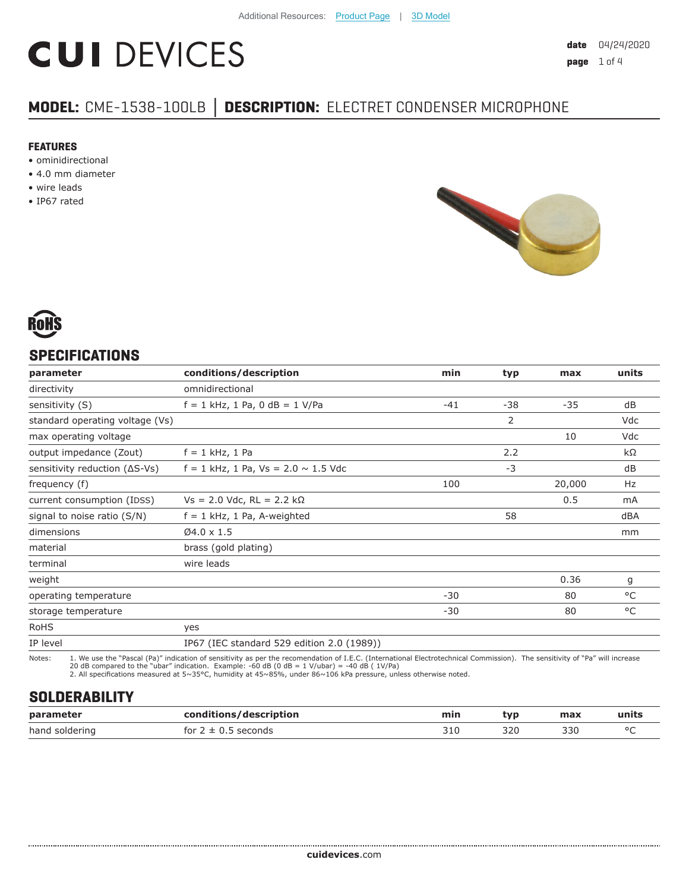# **CUI DEVICES**

## **MODEL:** CME-1538-100LB **│ DESCRIPTION:** ELECTRET CONDENSER MICROPHONE

#### **FEATURES**

- ominidirectional
- 4.0 mm diameter
- wire leads
- IP67 rated





## **SPECIFICATIONS**

| parameter                               | conditions/description                     | min   | typ   | max    | units |
|-----------------------------------------|--------------------------------------------|-------|-------|--------|-------|
| directivity                             | omnidirectional                            |       |       |        |       |
| sensitivity (S)                         | $f = 1$ kHz, 1 Pa, 0 dB = 1 V/Pa           | $-41$ | $-38$ | $-35$  | dB    |
| standard operating voltage (Vs)         |                                            |       | 2     |        | Vdc   |
| max operating voltage                   |                                            |       |       | 10     | Vdc   |
| output impedance (Zout)                 | $f = 1$ kHz, 1 Pa                          |       | 2.2   |        | kΩ    |
| sensitivity reduction $( \Delta S$ -Vs) | $f = 1$ kHz, 1 Pa, Vs = 2.0 $\sim$ 1.5 Vdc |       | $-3$  |        | dB    |
| frequency (f)                           |                                            | 100   |       | 20,000 | Hz    |
| current consumption (IDSS)              | $Vs = 2.0$ Vdc, RL = 2.2 kΩ                |       |       | 0.5    | mA    |
| signal to noise ratio (S/N)             | $f = 1$ kHz, 1 Pa, A-weighted              |       | 58    |        | dBA   |
| dimensions                              | $Ø4.0 \times 1.5$                          |       |       |        | mm    |
| material                                | brass (gold plating)                       |       |       |        |       |
| terminal                                | wire leads                                 |       |       |        |       |
| weight                                  |                                            |       |       | 0.36   | g     |
| operating temperature                   |                                            | $-30$ |       | 80     | °C    |
| storage temperature                     |                                            | $-30$ |       | 80     | °C    |
| <b>RoHS</b>                             | yes                                        |       |       |        |       |
| IP level                                | IP67 (IEC standard 529 edition 2.0 (1989)) |       |       |        |       |

Notes: 1. We use the "Pascal (Pa)" indication of sensitivity as per the recomendation of I.E.C. (International Electrotechnical Commission). The sensitivity of "Pa" will increase<br>20 dB compared to the "ubar" indica

## **SOLDERABILITY**

| parameter      | conditions/description | min | <b>typ</b>          | max | units   |
|----------------|------------------------|-----|---------------------|-----|---------|
| hand soldering | econds?<br>tor         | JIL | 320.<br>ンムい<br>$ -$ | 330 | $\circ$ |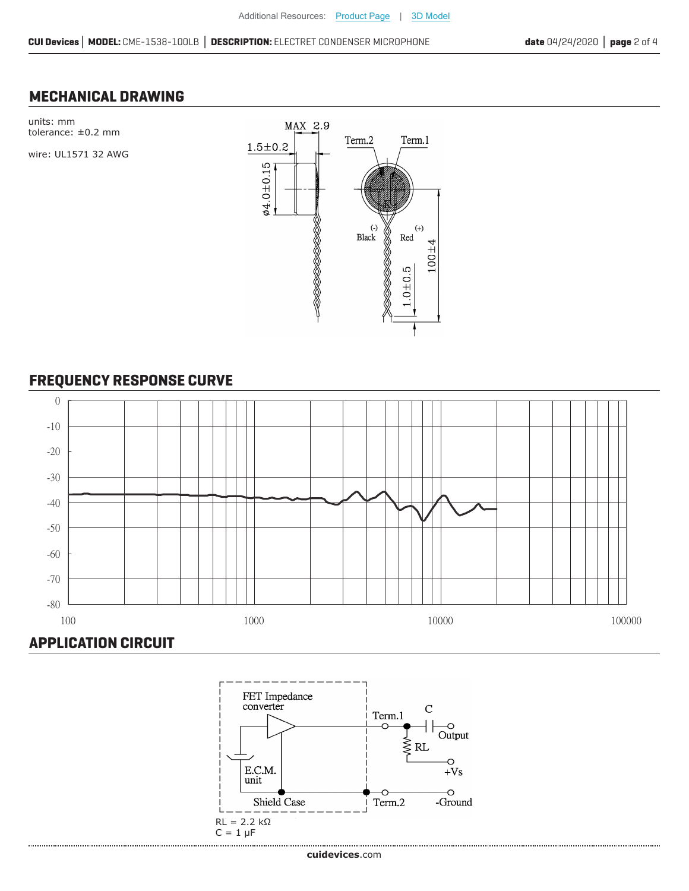Term.1

 $^{(+)}$ 

 $100 + 4$ 

Red

 $1.0 + 0.5$ 

### **MECHANICAL DRAWING**

units: mm MAX 2.9 tolerance: ±0.2 mm Term.2  $1.5\!\pm\!0.2$ wire: UL1571 32 AWG **ø4.0±0.15** <u>LINNAND S</u>  $($ - $)$ <br>Black RAND SAN

## **FREQUENCY RESPONSE CURVE**





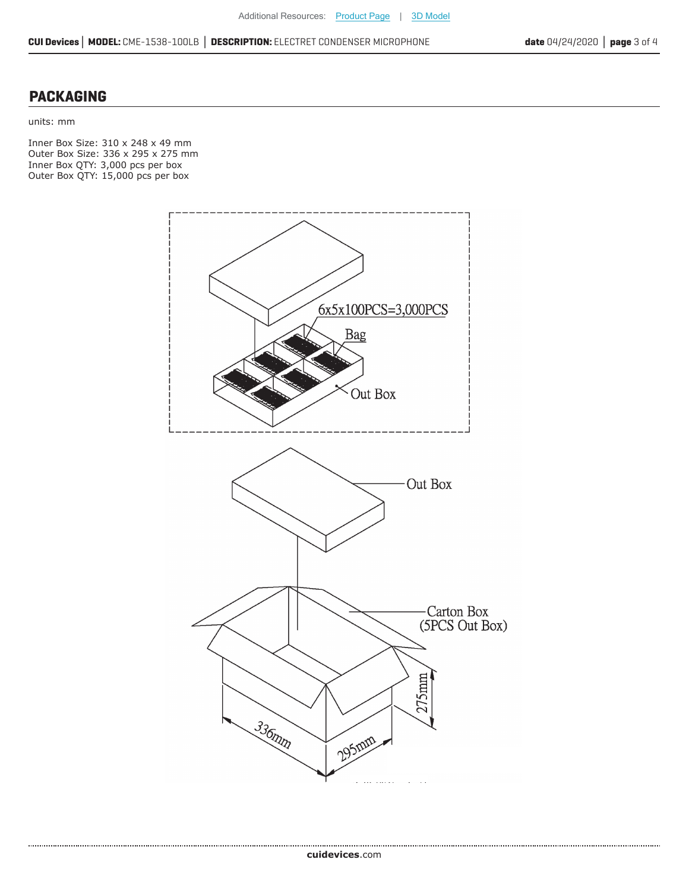#### **PACKAGING**

units: mm

Inner Box Size: 310 x 248 x 49 mm Outer Box Size: 336 x 295 x 275 mm Inner Box QTY: 3,000 pcs per box Outer Box QTY: 15,000 pcs per box